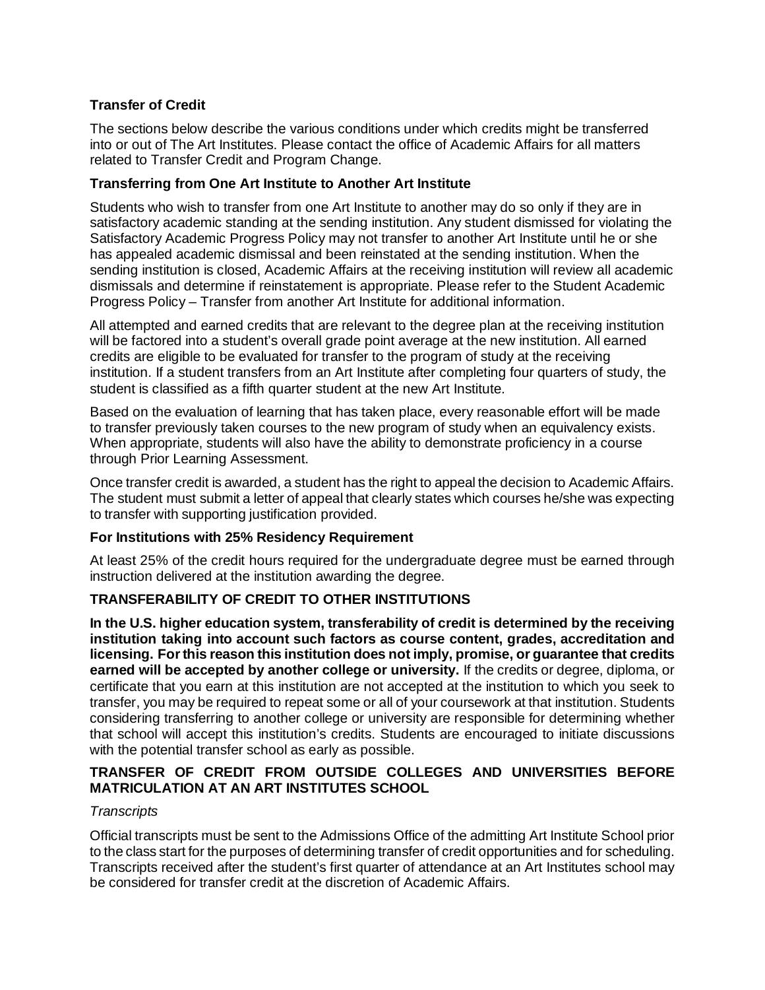# **Transfer of Credit**

The sections below describe the various conditions under which credits might be transferred into or out of The Art Institutes. Please contact the office of Academic Affairs for all matters related to Transfer Credit and Program Change.

## **Transferring from One Art Institute to Another Art Institute**

Students who wish to transfer from one Art Institute to another may do so only if they are in satisfactory academic standing at the sending institution. Any student dismissed for violating the Satisfactory Academic Progress Policy may not transfer to another Art Institute until he or she has appealed academic dismissal and been reinstated at the sending institution. When the sending institution is closed, Academic Affairs at the receiving institution will review all academic dismissals and determine if reinstatement is appropriate. Please refer to the Student Academic Progress Policy – Transfer from another Art Institute for additional information.

All attempted and earned credits that are relevant to the degree plan at the receiving institution will be factored into a student's overall grade point average at the new institution. All earned credits are eligible to be evaluated for transfer to the program of study at the receiving institution. If a student transfers from an Art Institute after completing four quarters of study, the student is classified as a fifth quarter student at the new Art Institute.

Based on the evaluation of learning that has taken place, every reasonable effort will be made to transfer previously taken courses to the new program of study when an equivalency exists. When appropriate, students will also have the ability to demonstrate proficiency in a course through Prior Learning Assessment.

Once transfer credit is awarded, a student has the right to appeal the decision to Academic Affairs. The student must submit a letter of appeal that clearly states which courses he/she was expecting to transfer with supporting justification provided.

## **For Institutions with 25% Residency Requirement**

At least 25% of the credit hours required for the undergraduate degree must be earned through instruction delivered at the institution awarding the degree.

## **TRANSFERABILITY OF CREDIT TO OTHER INSTITUTIONS**

**In the U.S. higher education system, transferability of credit is determined by the receiving institution taking into account such factors as course content, grades, accreditation and licensing. Forthis reason this institution does not imply, promise, or guarantee that credits earned will be accepted by another college or university.** If the credits or degree, diploma, or certificate that you earn at this institution are not accepted at the institution to which you seek to transfer, you may be required to repeat some or all of your coursework at that institution. Students considering transferring to another college or university are responsible for determining whether that school will accept this institution's credits. Students are encouraged to initiate discussions with the potential transfer school as early as possible.

## **TRANSFER OF CREDIT FROM OUTSIDE COLLEGES AND UNIVERSITIES BEFORE MATRICULATION AT AN ART INSTITUTES SCHOOL**

## *Transcripts*

Official transcripts must be sent to the Admissions Office of the admitting Art Institute School prior to the class start for the purposes of determining transfer of credit opportunities and for scheduling. Transcripts received after the student's first quarter of attendance at an Art Institutes school may be considered for transfer credit at the discretion of Academic Affairs.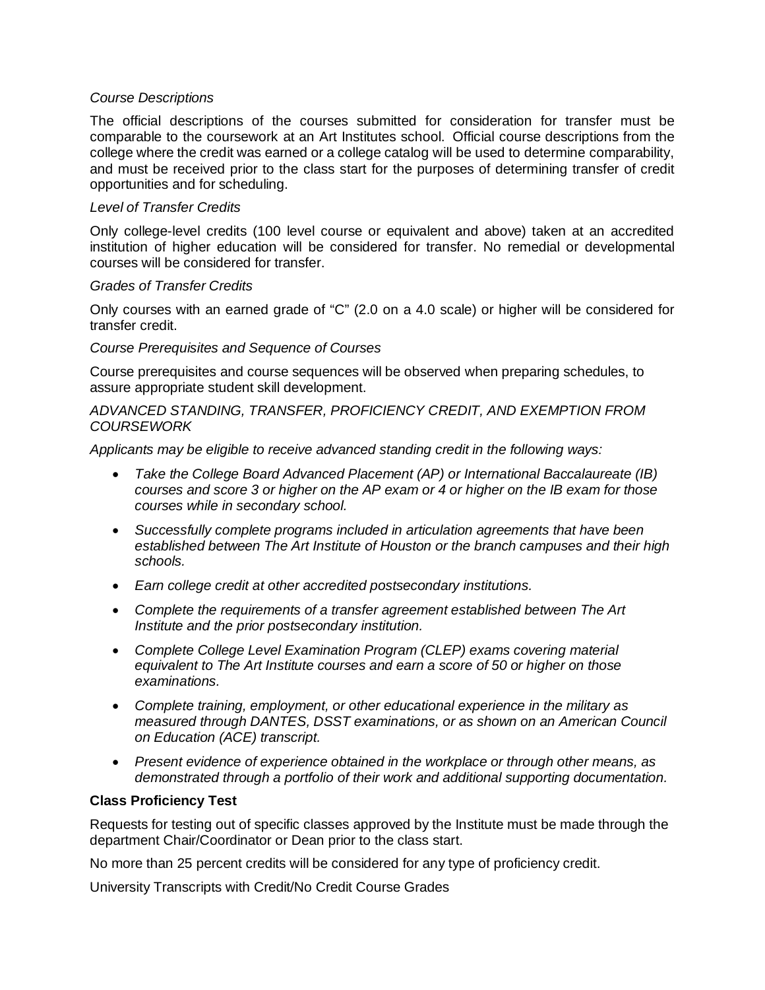### *Course Descriptions*

The official descriptions of the courses submitted for consideration for transfer must be comparable to the coursework at an Art Institutes school. Official course descriptions from the college where the credit was earned or a college catalog will be used to determine comparability, and must be received prior to the class start for the purposes of determining transfer of credit opportunities and for scheduling.

## *Level of Transfer Credits*

Only college-level credits (100 level course or equivalent and above) taken at an accredited institution of higher education will be considered for transfer. No remedial or developmental courses will be considered for transfer.

#### *Grades of Transfer Credits*

Only courses with an earned grade of "C" (2.0 on a 4.0 scale) or higher will be considered for transfer credit.

#### *Course Prerequisites and Sequence of Courses*

Course prerequisites and course sequences will be observed when preparing schedules, to assure appropriate student skill development.

*ADVANCED STANDING, TRANSFER, PROFICIENCY CREDIT, AND EXEMPTION FROM COURSEWORK* 

*Applicants may be eligible to receive advanced standing credit in the following ways:*

- *Take the College Board Advanced Placement (AP) or International Baccalaureate (IB) courses and score 3 or higher on the AP exam or 4 or higher on the IB exam for those courses while in secondary school.*
- *Successfully complete programs included in articulation agreements that have been established between The Art Institute of Houston or the branch campuses and their high schools.*
- *Earn college credit at other accredited postsecondary institutions.*
- *Complete the requirements of a transfer agreement established between The Art Institute and the prior postsecondary institution.*
- *Complete College Level Examination Program (CLEP) exams covering material equivalent to The Art Institute courses and earn a score of 50 or higher on those examinations.*
- *Complete training, employment, or other educational experience in the military as measured through DANTES, DSST examinations, or as shown on an American Council on Education (ACE) transcript.*
- *Present evidence of experience obtained in the workplace or through other means, as demonstrated through a portfolio of their work and additional supporting documentation.*

#### **Class Proficiency Test**

Requests for testing out of specific classes approved by the Institute must be made through the department Chair/Coordinator or Dean prior to the class start.

No more than 25 percent credits will be considered for any type of proficiency credit.

University Transcripts with Credit/No Credit Course Grades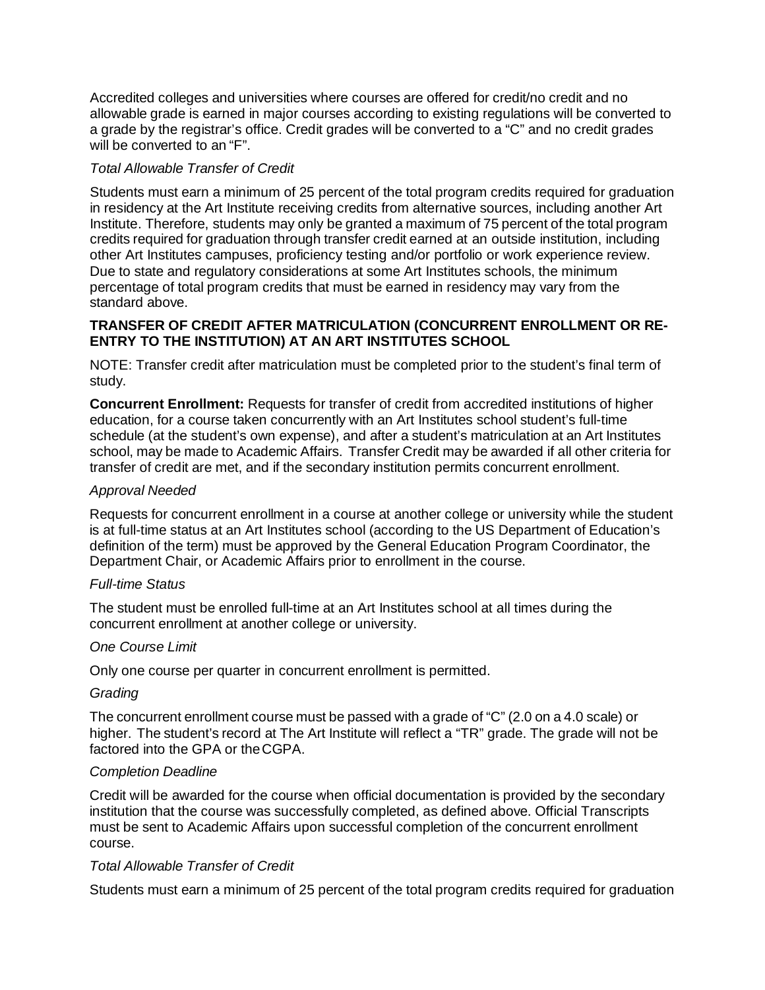Accredited colleges and universities where courses are offered for credit/no credit and no allowable grade is earned in major courses according to existing regulations will be converted to a grade by the registrar's office. Credit grades will be converted to a "C" and no credit grades will be converted to an "F".

# *Total Allowable Transfer of Credit*

Students must earn a minimum of 25 percent of the total program credits required for graduation in residency at the Art Institute receiving credits from alternative sources, including another Art Institute. Therefore, students may only be granted a maximum of 75 percent of the total program credits required for graduation through transfer credit earned at an outside institution, including other Art Institutes campuses, proficiency testing and/or portfolio or work experience review. Due to state and regulatory considerations at some Art Institutes schools, the minimum percentage of total program credits that must be earned in residency may vary from the standard above.

# **TRANSFER OF CREDIT AFTER MATRICULATION (CONCURRENT ENROLLMENT OR RE-ENTRY TO THE INSTITUTION) AT AN ART INSTITUTES SCHOOL**

NOTE: Transfer credit after matriculation must be completed prior to the student's final term of study.

**Concurrent Enrollment:** Requests for transfer of credit from accredited institutions of higher education, for a course taken concurrently with an Art Institutes school student's full-time schedule (at the student's own expense), and after a student's matriculation at an Art Institutes school, may be made to Academic Affairs. Transfer Credit may be awarded if all other criteria for transfer of credit are met, and if the secondary institution permits concurrent enrollment.

## *Approval Needed*

Requests for concurrent enrollment in a course at another college or university while the student is at full-time status at an Art Institutes school (according to the US Department of Education's definition of the term) must be approved by the General Education Program Coordinator, the Department Chair, or Academic Affairs prior to enrollment in the course.

## *Full-time Status*

The student must be enrolled full-time at an Art Institutes school at all times during the concurrent enrollment at another college or university.

## *One Course Limit*

Only one course per quarter in concurrent enrollment is permitted.

## *Grading*

The concurrent enrollment course must be passed with a grade of "C" (2.0 on a 4.0 scale) or higher. The student's record at The Art Institute will reflect a "TR" grade. The grade will not be factored into the GPA or theCGPA.

## *Completion Deadline*

Credit will be awarded for the course when official documentation is provided by the secondary institution that the course was successfully completed, as defined above. Official Transcripts must be sent to Academic Affairs upon successful completion of the concurrent enrollment course.

## *Total Allowable Transfer of Credit*

Students must earn a minimum of 25 percent of the total program credits required for graduation